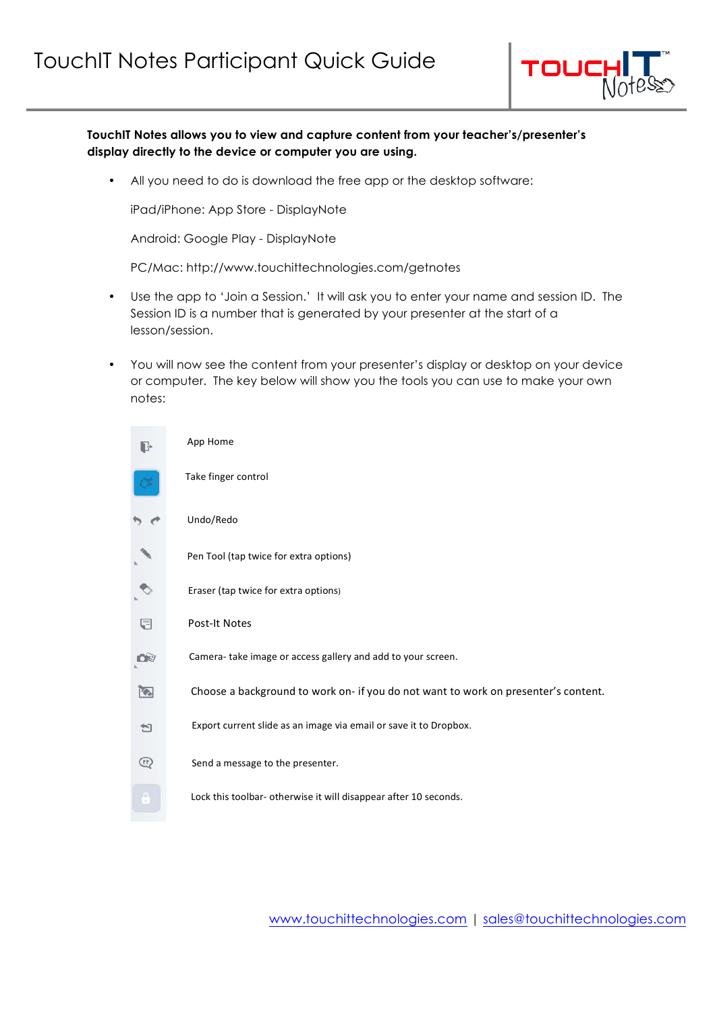

**TouchIT Notes allows you to view and capture content from your teacher's/presenter's display directly to the device or computer you are using.** 

• All you need to do is download the free app or the desktop software:

iPad/iPhone: App Store - DisplayNote

Android: Google Play - DisplayNote

PC/Mac: http://www.touchittechnologies.com/getnotes

- Use the app to 'Join a Session.' It will ask you to enter your name and session ID. The Session ID is a number that is generated by your presenter at the start of a lesson/session.
- You will now see the content from your presenter's display or desktop on your device or computer. The key below will show you the tools you can use to make your own notes:

|                      | App Home                                                                           |
|----------------------|------------------------------------------------------------------------------------|
|                      | Take finger control                                                                |
|                      | Undo/Redo                                                                          |
|                      | Pen Tool (tap twice for extra options)                                             |
|                      | Eraser (tap twice for extra options)                                               |
| U                    | <b>Post-It Notes</b>                                                               |
| OS                   | Camera-take image or access gallery and add to your screen.                        |
| $\mathcal{C}_\alpha$ | Choose a background to work on- if you do not want to work on presenter's content. |
| ≝                    | Export current slide as an image via email or save it to Dropbox.                  |
| $\mathbb{C}$         | Send a message to the presenter.                                                   |
| û                    | Lock this toolbar- otherwise it will disappear after 10 seconds.                   |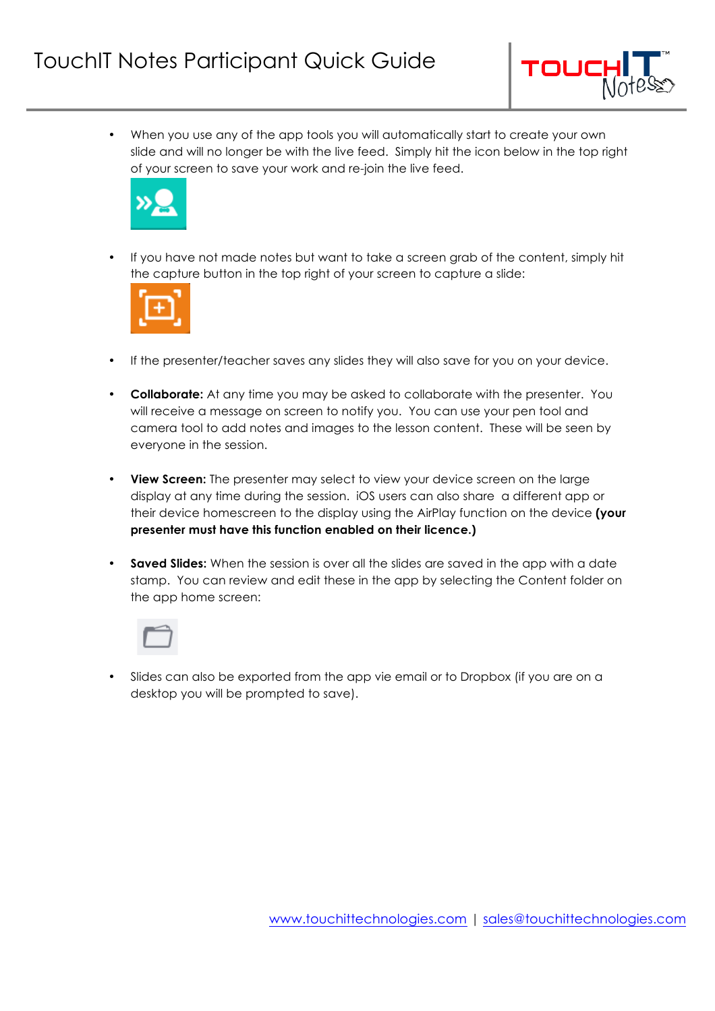

• When you use any of the app tools you will automatically start to create your own slide and will no longer be with the live feed. Simply hit the icon below in the top right of your screen to save your work and re-join the live feed.



If you have not made notes but want to take a screen grab of the content, simply hit the capture button in the top right of your screen to capture a slide:



- If the presenter/teacher saves any slides they will also save for you on your device.
- **Collaborate:** At any time you may be asked to collaborate with the presenter. You will receive a message on screen to notify you. You can use your pen tool and camera tool to add notes and images to the lesson content. These will be seen by everyone in the session.
- **View Screen:** The presenter may select to view your device screen on the large display at any time during the session. iOS users can also share a different app or their device homescreen to the display using the AirPlay function on the device **(your presenter must have this function enabled on their licence.)**
- **Saved Slides:** When the session is over all the slides are saved in the app with a date stamp. You can review and edit these in the app by selecting the Content folder on the app home screen:



Slides can also be exported from the app vie email or to Dropbox (if you are on a desktop you will be prompted to save).